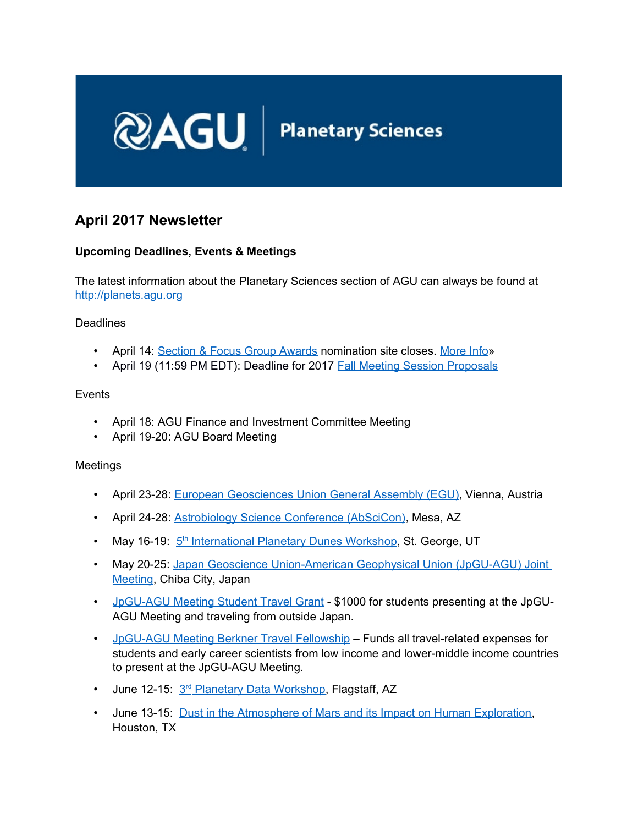

# **April 2017 Newsletter**

# **Upcoming Deadlines, Events & Meetings**

The latest information about the Planetary Sciences section of AGU can always be found at [http://planets.agu.org](http://planets.agu.org/)

Deadlines

- April 14: [Section & Focus Group Awards](http://honors.agu.org/section-and-focus-group-awards/) nomination site closes. More Info.»
- April 19 (11:59 PM EDT): Deadline for 2017 [Fall Meeting Session Proposals](http://fallmeeting.agu.org/2017/session-proposals/)

**Events** 

- April 18: AGU Finance and Investment Committee Meeting
- April 19-20: AGU Board Meeting

#### Meetings

- April 23-28: [European Geosciences Union General Assembly \(EGU\),](http://www.egu2017.eu/) Vienna, Austria
- April 24-28: **Astrobiology Science Conference (AbSciCon)**, Mesa, AZ
- May 16-19: 5<sup>th</sup> [International Planetary Dunes Workshop,](http://www.hou.usra.edu/meetings/dunes2017/) St. George, UT
- May 20-25: Japan Geoscience Union-American Geophysical Union (JpGU-AGU) Joint [Meeting,](http://www.jpgu.org/meeting_e2017/index.htm) Chiba City, Japan
- [JpGU-AGU Meeting Student Travel Grant](https://education.agu.org/grants/student-travel-grants-application-requirements/jpgu-agu-student-travel-grant/) \$1000 for students presenting at the JpGU-AGU Meeting and traveling from outside Japan.
- [JpGU-AGU Meeting Berkner Travel Fellowship](https://education.agu.org/grants/student-travel-grants-application-requirements/jpgu-agu-berkner-fellowship/) Funds all travel-related expenses for students and early career scientists from low income and lower-middle income countries to present at the JpGU-AGU Meeting.
- June 12-15: 3<sup>rd</sup> [Planetary Data Workshop,](http://www.hou.usra.edu/meetings/planetdata2017/) Flagstaff, AZ
- June 13-15: [Dust in the Atmosphere of Mars and its Impact on Human Exploration,](http://www.hou.usra.edu/meetings/marsdust2017/) Houston, TX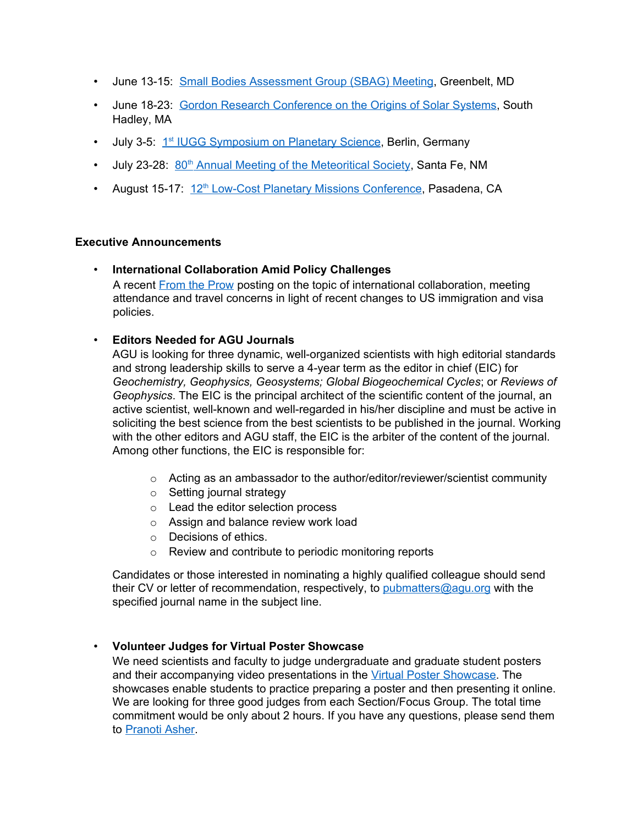- June 13-15: [Small Bodies Assessment Group \(SBAG\) Meeting,](http://www.lpi.usra.edu/sbag/) Greenbelt, MD
- June 18-23: [Gordon Research Conference on the Origins of Solar Systems,](https://www.grc.org/programs.aspx?id=12346) South Hadley, MA
- July 3-5: 1<sup>st</sup> [IUGG Symposium on Planetary Science,](http://www.dlr.de/pf/desktopdefault.aspx/tabid-11789/) Berlin, Germany
- July 23-28: 80<sup>th</sup> [Annual Meeting of the Meteoritical Society,](http://metsoc2017-santafe.com/) Santa Fe, NM
- August 15-17: 12<sup>th</sup> [Low-Cost Planetary Missions Conference,](http://lcpm2017.org/) Pasadena, CA

#### **Executive Announcements**

• **International Collaboration Amid Policy Challenges** A recent [From the Prow](http://fromtheprow.agu.org/fostering-international-collaboration-amid-policy-challenges/) posting on the topic of international collaboration, meeting attendance and travel concerns in light of recent changes to US immigration and visa policies.

### • **Editors Needed for AGU Journals**

AGU is looking for three dynamic, well-organized scientists with high editorial standards and strong leadership skills to serve a 4-year term as the editor in chief (EIC) for *Geochemistry, Geophysics, Geosystems; Global Biogeochemical Cycles*; or *Reviews of Geophysics*. The EIC is the principal architect of the scientific content of the journal, an active scientist, well-known and well-regarded in his/her discipline and must be active in soliciting the best science from the best scientists to be published in the journal. Working with the other editors and AGU staff, the EIC is the arbiter of the content of the journal. Among other functions, the EIC is responsible for:

- $\circ$  Acting as an ambassador to the author/editor/reviewer/scientist community
- o Setting journal strategy
- o Lead the editor selection process
- o Assign and balance review work load
- o Decisions of ethics.
- o Review and contribute to periodic monitoring reports

Candidates or those interested in nominating a highly qualified colleague should send their CV or letter of recommendation, respectively, to [pubmatters@agu.org](mailto:pubmatters@agu.org) with the specified journal name in the subject line.

### • **Volunteer Judges for Virtual Poster Showcase**

We need scientists and faculty to judge undergraduate and graduate student posters and their accompanying video presentations in the [Virtual Poster Showcase.](http://education.agu.org/virtual-poster-showcase/) The showcases enable students to practice preparing a poster and then presenting it online. We are looking for three good judges from each Section/Focus Group. The total time commitment would be only about 2 hours. If you have any questions, please send them to [Pranoti Asher.](mailto:pasher@agu.org?subject=Interested%20Judge%20for%20VPS)